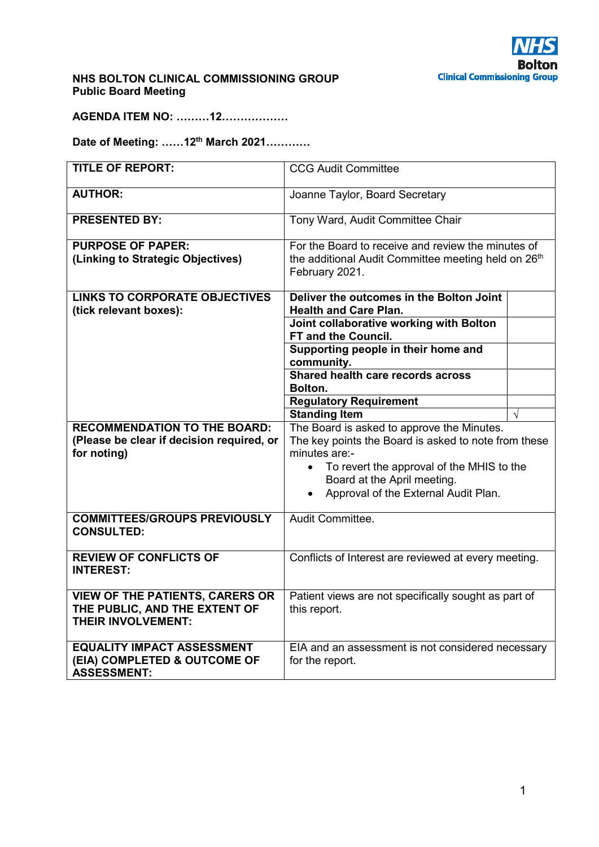

### **NHS BOLTON CLINICAL COMMISSIONING GROUP Public Board Meeting**

**AGENDA ITEM NO: ………12………………** 

**Date of Meeting: ……12th March 2021…………** 

| <b>TITLE OF REPORT:</b>                                                                         | <b>CCG Audit Committee</b>                                                                                                                                                                                                                           |  |
|-------------------------------------------------------------------------------------------------|------------------------------------------------------------------------------------------------------------------------------------------------------------------------------------------------------------------------------------------------------|--|
| <b>AUTHOR:</b>                                                                                  | Joanne Taylor, Board Secretary                                                                                                                                                                                                                       |  |
| <b>PRESENTED BY:</b>                                                                            | Tony Ward, Audit Committee Chair                                                                                                                                                                                                                     |  |
| <b>PURPOSE OF PAPER:</b><br>(Linking to Strategic Objectives)                                   | For the Board to receive and review the minutes of<br>the additional Audit Committee meeting held on 26 <sup>th</sup><br>February 2021.                                                                                                              |  |
| <b>LINKS TO CORPORATE OBJECTIVES</b><br>(tick relevant boxes):                                  | Deliver the outcomes in the Bolton Joint<br><b>Health and Care Plan.</b>                                                                                                                                                                             |  |
|                                                                                                 | Joint collaborative working with Bolton<br>FT and the Council.                                                                                                                                                                                       |  |
|                                                                                                 | Supporting people in their home and<br>community.                                                                                                                                                                                                    |  |
|                                                                                                 | Shared health care records across<br>Bolton.                                                                                                                                                                                                         |  |
|                                                                                                 | <b>Regulatory Requirement</b><br><b>Standing Item</b>                                                                                                                                                                                                |  |
| <b>RECOMMENDATION TO THE BOARD:</b><br>(Please be clear if decision required, or<br>for noting) | The Board is asked to approve the Minutes.<br>The key points the Board is asked to note from these<br>minutes are:-<br>To revert the approval of the MHIS to the<br>Board at the April meeting.<br>Approval of the External Audit Plan.<br>$\bullet$ |  |
| <b>COMMITTEES/GROUPS PREVIOUSLY</b><br><b>CONSULTED:</b>                                        | Audit Committee.                                                                                                                                                                                                                                     |  |
| <b>REVIEW OF CONFLICTS OF</b><br><b>INTEREST:</b>                                               | Conflicts of Interest are reviewed at every meeting.                                                                                                                                                                                                 |  |
| <b>VIEW OF THE PATIENTS, CARERS OR</b><br>THE PUBLIC, AND THE EXTENT OF<br>THEIR INVOLVEMENT:   | Patient views are not specifically sought as part of<br>this report.                                                                                                                                                                                 |  |
| <b>EQUALITY IMPACT ASSESSMENT</b><br>(EIA) COMPLETED & OUTCOME OF<br><b>ASSESSMENT:</b>         | EIA and an assessment is not considered necessary<br>for the report.                                                                                                                                                                                 |  |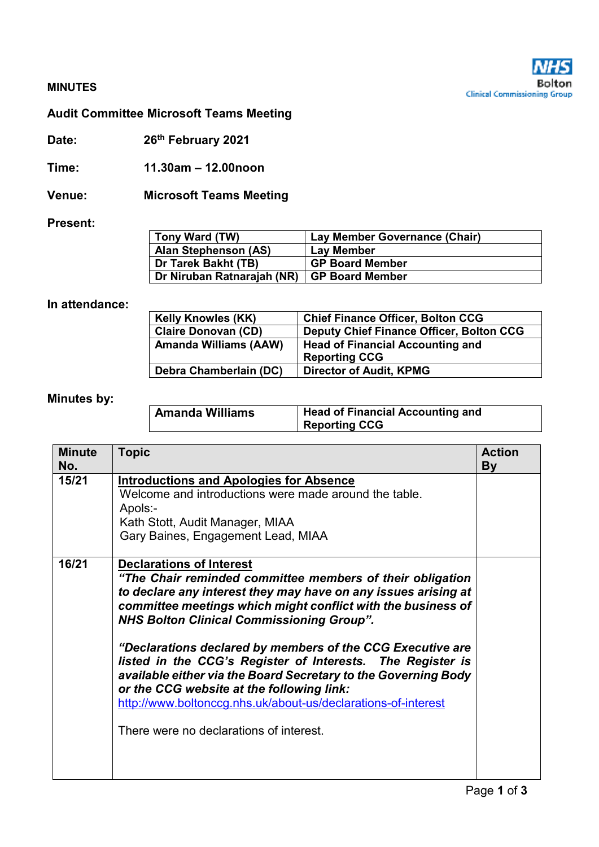

### **MINUTES**

# **Audit Committee Microsoft Teams Meeting**

**Date: 26th February 2021** 

**Time: 11.30am – 12.00noon**

**Venue: Microsoft Teams Meeting** 

#### **Present:**

| Tony Ward (TW)              | Lay Member Governance (Chair) |
|-----------------------------|-------------------------------|
| <b>Alan Stephenson (AS)</b> | Lay Member                    |
| Dr Tarek Bakht (TB)         | <b>GP Board Member</b>        |
| Dr Niruban Ratnarajah (NR)  | <b>GP Board Member</b>        |

#### **In attendance:**

| <b>Kelly Knowles (KK)</b>    | <b>Chief Finance Officer, Bolton CCG</b>        |
|------------------------------|-------------------------------------------------|
| <b>Claire Donovan (CD)</b>   | <b>Deputy Chief Finance Officer, Bolton CCG</b> |
| <b>Amanda Williams (AAW)</b> | Head of Financial Accounting and                |
|                              | <b>Reporting CCG</b>                            |
| Debra Chamberlain (DC)       | <b>Director of Audit, KPMG</b>                  |

# **Minutes by:**

| Amanda Williams | <b>Head of Financial Accounting and</b> |
|-----------------|-----------------------------------------|
|                 | <b>Reporting CCG</b>                    |

| <b>Minute</b> | <b>Topic</b>                                                                                                                                                                                                                                                                                                                                                                                                                                                                                                                                                                                                                              | <b>Action</b> |
|---------------|-------------------------------------------------------------------------------------------------------------------------------------------------------------------------------------------------------------------------------------------------------------------------------------------------------------------------------------------------------------------------------------------------------------------------------------------------------------------------------------------------------------------------------------------------------------------------------------------------------------------------------------------|---------------|
| No.           |                                                                                                                                                                                                                                                                                                                                                                                                                                                                                                                                                                                                                                           | <b>By</b>     |
| 15/21         | <b>Introductions and Apologies for Absence</b><br>Welcome and introductions were made around the table.<br>Apols:-<br>Kath Stott, Audit Manager, MIAA<br>Gary Baines, Engagement Lead, MIAA                                                                                                                                                                                                                                                                                                                                                                                                                                               |               |
| 16/21         | <b>Declarations of Interest</b><br>"The Chair reminded committee members of their obligation<br>to declare any interest they may have on any issues arising at<br>committee meetings which might conflict with the business of<br><b>NHS Bolton Clinical Commissioning Group".</b><br>"Declarations declared by members of the CCG Executive are<br>listed in the CCG's Register of Interests. The Register is<br>available either via the Board Secretary to the Governing Body<br>or the CCG website at the following link:<br>http://www.boltonccg.nhs.uk/about-us/declarations-of-interest<br>There were no declarations of interest. |               |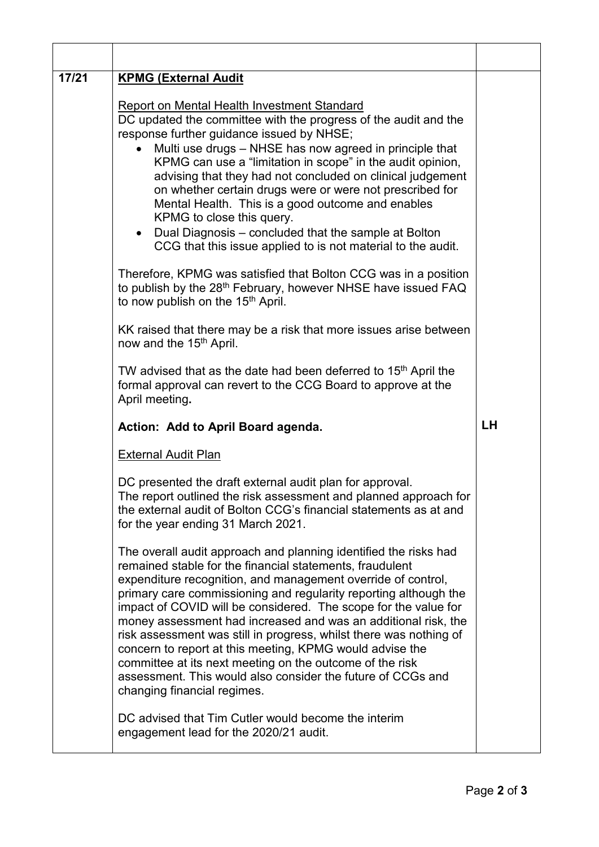| 17/21 | <b>KPMG (External Audit</b>                                                                                                                                                                                                                                                                                                                                                                                                                                                                                                                                                                                                                                                                       |           |
|-------|---------------------------------------------------------------------------------------------------------------------------------------------------------------------------------------------------------------------------------------------------------------------------------------------------------------------------------------------------------------------------------------------------------------------------------------------------------------------------------------------------------------------------------------------------------------------------------------------------------------------------------------------------------------------------------------------------|-----------|
|       | <b>Report on Mental Health Investment Standard</b><br>DC updated the committee with the progress of the audit and the<br>response further guidance issued by NHSE;<br>Multi use drugs - NHSE has now agreed in principle that<br>KPMG can use a "limitation in scope" in the audit opinion,<br>advising that they had not concluded on clinical judgement<br>on whether certain drugs were or were not prescribed for<br>Mental Health. This is a good outcome and enables<br>KPMG to close this query.<br>Dual Diagnosis – concluded that the sample at Bolton<br>$\bullet$<br>CCG that this issue applied to is not material to the audit.                                                      |           |
|       | Therefore, KPMG was satisfied that Bolton CCG was in a position<br>to publish by the 28 <sup>th</sup> February, however NHSE have issued FAQ<br>to now publish on the 15 <sup>th</sup> April.                                                                                                                                                                                                                                                                                                                                                                                                                                                                                                     |           |
|       | KK raised that there may be a risk that more issues arise between<br>now and the 15 <sup>th</sup> April.                                                                                                                                                                                                                                                                                                                                                                                                                                                                                                                                                                                          |           |
|       | TW advised that as the date had been deferred to 15 <sup>th</sup> April the<br>formal approval can revert to the CCG Board to approve at the<br>April meeting.                                                                                                                                                                                                                                                                                                                                                                                                                                                                                                                                    |           |
|       | Action: Add to April Board agenda.                                                                                                                                                                                                                                                                                                                                                                                                                                                                                                                                                                                                                                                                | <b>LH</b> |
|       | <b>External Audit Plan</b>                                                                                                                                                                                                                                                                                                                                                                                                                                                                                                                                                                                                                                                                        |           |
|       | DC presented the draft external audit plan for approval.<br>The report outlined the risk assessment and planned approach for<br>the external audit of Bolton CCG's financial statements as at and<br>for the year ending 31 March 2021.                                                                                                                                                                                                                                                                                                                                                                                                                                                           |           |
|       | The overall audit approach and planning identified the risks had<br>remained stable for the financial statements, fraudulent<br>expenditure recognition, and management override of control,<br>primary care commissioning and regularity reporting although the<br>impact of COVID will be considered. The scope for the value for<br>money assessment had increased and was an additional risk, the<br>risk assessment was still in progress, whilst there was nothing of<br>concern to report at this meeting, KPMG would advise the<br>committee at its next meeting on the outcome of the risk<br>assessment. This would also consider the future of CCGs and<br>changing financial regimes. |           |
|       | DC advised that Tim Cutler would become the interim<br>engagement lead for the 2020/21 audit.                                                                                                                                                                                                                                                                                                                                                                                                                                                                                                                                                                                                     |           |